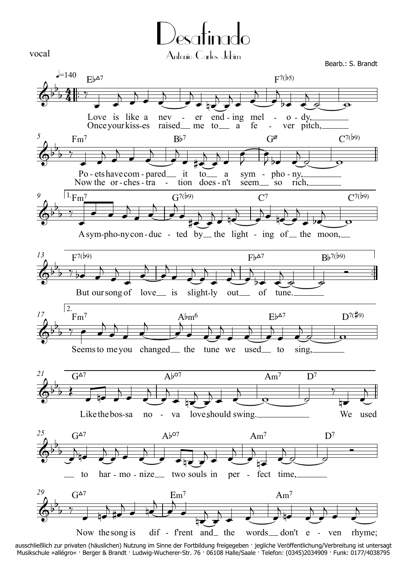

Desafinado Antonio Carlos Jobim

Bearb.: S. Brandt



ausschließlich zur privaten (häuslichen) Nutzung im Sinne der Fortbildung freigegeben · jegliche Veröffentlichung/Verbreitung ist untersagt Musikschule »allégro« · Berger & Brandt · Ludwig-Wucherer-Str. 76 · 06108 Halle/Saale · Telefon: (0345)2034909 · Funk: 0177/4038795